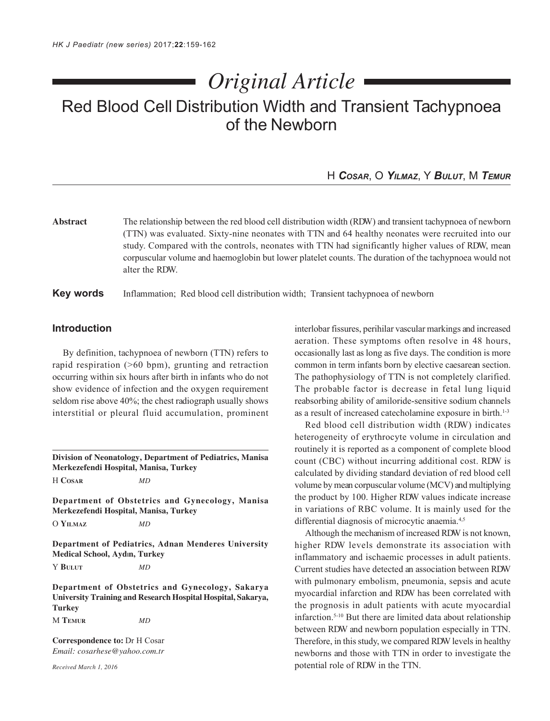# *Original Article*

# Red Blood Cell Distribution Width and Transient Tachypnoea of the Newborn

# H *COSAR*, O *YILMAZ*, Y *BULUT*, M *TEMUR*

**Abstract** The relationship between the red blood cell distribution width (RDW) and transient tachypnoea of newborn (TTN) was evaluated. Sixty-nine neonates with TTN and 64 healthy neonates were recruited into our study. Compared with the controls, neonates with TTN had significantly higher values of RDW, mean corpuscular volume and haemoglobin but lower platelet counts. The duration of the tachypnoea would not alter the RDW.

## **Key words** Inflammation; Red blood cell distribution width; Transient tachypnoea of newborn

# **Introduction**

By definition, tachypnoea of newborn (TTN) refers to rapid respiration (>60 bpm), grunting and retraction occurring within six hours after birth in infants who do not show evidence of infection and the oxygen requirement seldom rise above 40%; the chest radiograph usually shows interstitial or pleural fluid accumulation, prominent

**Division of Neonatology, Department of Pediatrics, Manisa Merkezefendi Hospital, Manisa, Turkey** H **COSAR** *MD*

**Department of Obstetrics and Gynecology, Manisa Merkezefendi Hospital, Manisa, Turkey**

O **YILMAZ** *MD*

**Department of Pediatrics, Adnan Menderes University Medical School, Aydln, Turkey**

Y **BULUT** *MD*

**Department of Obstetrics and Gynecology, Sakarya University Training and Research Hospital Hospital, Sakarya, Turkey**

M **TEMUR** *MD*

**Correspondence to:** Dr H Cosar *Email: cosarhese@yahoo.com.tr*

*Received March 1, 2016*

interlobar fissures, perihilar vascular markings and increased aeration. These symptoms often resolve in 48 hours, occasionally last as long as five days. The condition is more common in term infants born by elective caesarean section. The pathophysiology of TTN is not completely clarified. The probable factor is decrease in fetal lung liquid reabsorbing ability of amiloride-sensitive sodium channels as a result of increased catecholamine exposure in birth.<sup>1-3</sup>

Red blood cell distribution width (RDW) indicates heterogeneity of erythrocyte volume in circulation and routinely it is reported as a component of complete blood count (CBC) without incurring additional cost. RDW is calculated by dividing standard deviation of red blood cell volume by mean corpuscular volume (MCV) and multiplying the product by 100. Higher RDW values indicate increase in variations of RBC volume. It is mainly used for the differential diagnosis of microcytic anaemia.<sup>4,5</sup>

Although the mechanism of increased RDW is not known, higher RDW levels demonstrate its association with inflammatory and ischaemic processes in adult patients. Current studies have detected an association between RDW with pulmonary embolism, pneumonia, sepsis and acute myocardial infarction and RDW has been correlated with the prognosis in adult patients with acute myocardial infarction.5-10 But there are limited data about relationship between RDW and newborn population especially in TTN. Therefore, in this study, we compared RDW levels in healthy newborns and those with TTN in order to investigate the potential role of RDW in the TTN.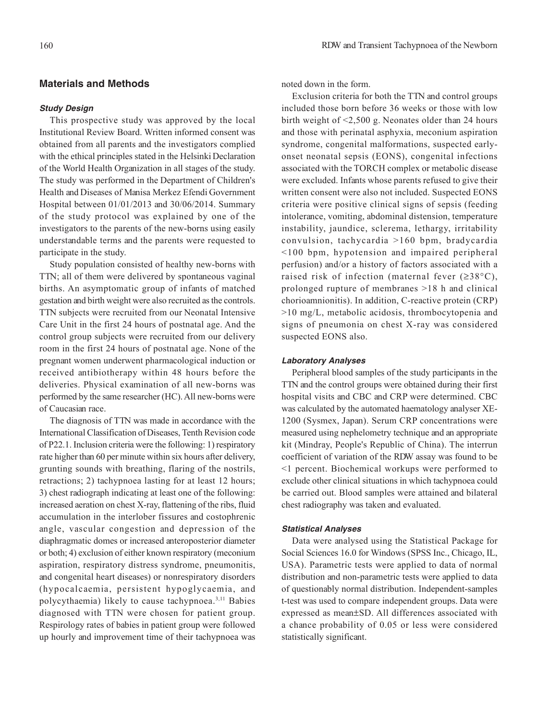# **Materials and Methods**

#### **Study Design**

This prospective study was approved by the local Institutional Review Board. Written informed consent was obtained from all parents and the investigators complied with the ethical principles stated in the Helsinki Declaration of the World Health Organization in all stages of the study. The study was performed in the Department of Children's Health and Diseases of Manisa Merkez Efendi Government Hospital between 01/01/2013 and 30/06/2014. Summary of the study protocol was explained by one of the investigators to the parents of the new-borns using easily understandable terms and the parents were requested to participate in the study.

Study population consisted of healthy new-borns with TTN; all of them were delivered by spontaneous vaginal births. An asymptomatic group of infants of matched gestation and birth weight were also recruited as the controls. TTN subjects were recruited from our Neonatal Intensive Care Unit in the first 24 hours of postnatal age. And the control group subjects were recruited from our delivery room in the first 24 hours of postnatal age. None of the pregnant women underwent pharmacological induction or received antibiotherapy within 48 hours before the deliveries. Physical examination of all new-borns was performed by the same researcher (HC). All new-borns were of Caucasian race.

The diagnosis of TTN was made in accordance with the International Classification of Diseases, Tenth Revision code of P22.1. Inclusion criteria were the following: 1) respiratory rate higher than 60 per minute within six hours after delivery, grunting sounds with breathing, flaring of the nostrils, retractions; 2) tachypnoea lasting for at least 12 hours; 3) chest radiograph indicating at least one of the following: increased aeration on chest X-ray, flattening of the ribs, fluid accumulation in the interlober fissures and costophrenic angle, vascular congestion and depression of the diaphragmatic domes or increased anteroposterior diameter or both; 4) exclusion of either known respiratory (meconium aspiration, respiratory distress syndrome, pneumonitis, and congenital heart diseases) or nonrespiratory disorders (hypocalcaemia, persistent hypoglycaemia, and polycythaemia) likely to cause tachypnoea.3,11 Babies diagnosed with TTN were chosen for patient group. Respirology rates of babies in patient group were followed up hourly and improvement time of their tachypnoea was

noted down in the form.

Exclusion criteria for both the TTN and control groups included those born before 36 weeks or those with low birth weight of <2,500 g. Neonates older than 24 hours and those with perinatal asphyxia, meconium aspiration syndrome, congenital malformations, suspected earlyonset neonatal sepsis (EONS), congenital infections associated with the TORCH complex or metabolic disease were excluded. Infants whose parents refused to give their written consent were also not included. Suspected EONS criteria were positive clinical signs of sepsis (feeding intolerance, vomiting, abdominal distension, temperature instability, jaundice, sclerema, lethargy, irritability convulsion, tachycardia >160 bpm, bradycardia <100 bpm, hypotension and impaired peripheral perfusion) and/or a history of factors associated with a raised risk of infection (maternal fever  $(\geq 38^{\circ}C)$ , prolonged rupture of membranes >18 h and clinical chorioamnionitis). In addition, C-reactive protein (CRP) >10 mg/L, metabolic acidosis, thrombocytopenia and signs of pneumonia on chest X-ray was considered suspected EONS also.

## **Laboratory Analyses**

Peripheral blood samples of the study participants in the TTN and the control groups were obtained during their first hospital visits and CBC and CRP were determined. CBC was calculated by the automated haematology analyser XE-1200 (Sysmex, Japan). Serum CRP concentrations were measured using nephelometry technique and an appropriate kit (Mindray, People's Republic of China). The interrun coefficient of variation of the RDW assay was found to be <1 percent. Biochemical workups were performed to exclude other clinical situations in which tachypnoea could be carried out. Blood samples were attained and bilateral chest radiography was taken and evaluated.

#### **Statistical Analyses**

Data were analysed using the Statistical Package for Social Sciences 16.0 for Windows (SPSS Inc., Chicago, IL, USA). Parametric tests were applied to data of normal distribution and non-parametric tests were applied to data of questionably normal distribution. Independent-samples t-test was used to compare independent groups. Data were expressed as mean±SD. All differences associated with a chance probability of 0.05 or less were considered statistically significant.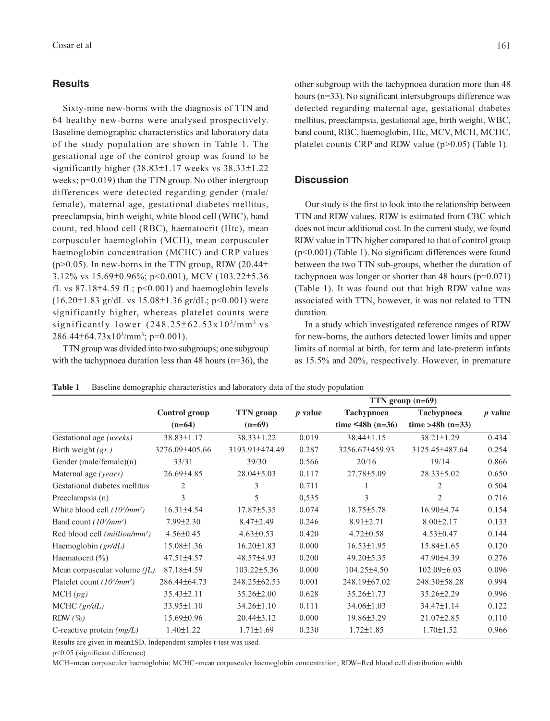#### **Results**

Sixty-nine new-borns with the diagnosis of TTN and 64 healthy new-borns were analysed prospectively. Baseline demographic characteristics and laboratory data of the study population are shown in Table 1. The gestational age of the control group was found to be significantly higher (38.83±1.17 weeks vs 38.33±1.22 weeks;  $p=0.019$ ) than the TTN group. No other intergroup differences were detected regarding gender (male/ female), maternal age, gestational diabetes mellitus, preeclampsia, birth weight, white blood cell (WBC), band count, red blood cell (RBC), haematocrit (Htc), mean corpusculer haemoglobin (MCH), mean corpusculer haemoglobin concentration (MCHC) and CRP values ( $p > 0.05$ ). In new-borns in the TTN group, RDW (20.44 $\pm$ ) 3.12% vs 15.69±0.96%; p<0.001), MCV (103.22±5.36 fL vs  $87.18\pm4.59$  fL;  $p<0.001$ ) and haemoglobin levels  $(16.20\pm1.83 \text{ gr/dL vs } 15.08\pm1.36 \text{ gr/dL}; p<0.001)$  were significantly higher, whereas platelet counts were significantly lower (248.25±62.53x10<sup>3</sup>/mm<sup>3</sup> vs  $286.44\pm 64.73 \times 10^{3}$ /mm<sup>3</sup>; p=0.001).

TTN group was divided into two subgroups; one subgroup with the tachypnoea duration less than 48 hours ( $n=36$ ), the other subgroup with the tachypnoea duration more than 48 hours (n=33). No significant intersubgroups difference was detected regarding maternal age, gestational diabetes mellitus, preeclampsia, gestational age, birth weight, WBC, band count, RBC, haemoglobin, Htc, MCV, MCH, MCHC, platelet counts CRP and RDW value (p>0.05) (Table 1).

# **Discussion**

Our study is the first to look into the relationship between TTN and RDW values. RDW is estimated from CBC which does not incur additional cost. In the current study, we found RDW value in TTN higher compared to that of control group (p<0.001) (Table 1). No significant differences were found between the two TTN sub-groups, whether the duration of tachypnoea was longer or shorter than 48 hours (p=0.071) (Table 1). It was found out that high RDW value was associated with TTN, however, it was not related to TTN duration.

In a study which investigated reference ranges of RDW for new-borns, the authors detected lower limits and upper limits of normal at birth, for term and late-preterm infants as 15.5% and 20%, respectively. However, in premature

|                                           | Control group<br>$(n=64)$ | TTN group<br>$(n=69)$ |                | TTN group $(n=69)$                   |                                         |                |
|-------------------------------------------|---------------------------|-----------------------|----------------|--------------------------------------|-----------------------------------------|----------------|
|                                           |                           |                       | <i>p</i> value | Tachypnoea<br>time $\leq$ 48h (n=36) | <b>Tachypnoea</b><br>time >48h $(n=33)$ | <i>p</i> value |
|                                           |                           |                       |                |                                      |                                         |                |
| Gestational age (weeks)                   | 38.83±1.17                | $38.33 \pm 1.22$      | 0.019          | 38.44±1.15                           | 38.21±1.29                              | 0.434          |
| Birth weight $(gr.)$                      | 3276.09±405.66            | 3193.91±474.49        | 0.287          | 3256.67±459.93                       | 3125.45±487.64                          | 0.254          |
| Gender (male/female)(n)                   | 33/31                     | 39/30                 | 0.566          | 20/16                                | 19/14                                   | 0.866          |
| Maternal age (years)                      | 26.69±4.85                | $28.04 \pm 5.03$      | 0.117          | 27.78±5.09                           | $28.33 \pm 5.02$                        | 0.650          |
| Gestational diabetes mellitus             | 2                         | 3                     | 0.711          |                                      | 2                                       | 0.504          |
| Preeclampsia (n)                          | 3                         | 5                     | 0,535          | 3                                    | $\overline{c}$                          | 0.716          |
| White blood cell $(10^3/mm^3)$            | $16.31\pm4.54$            | $17.87 \pm 5.35$      | 0.074          | $18.75 \pm 5.78$                     | 16.90±4.74                              | 0.154          |
| Band count $(10^3/mm^3)$                  | $7.99 \pm 2.30$           | $8.47 \pm 2.49$       | 0.246          | $8.91 \pm 2.71$                      | $8.00 \pm 2.17$                         | 0.133          |
| Red blood cell (million/mm <sup>3</sup> ) | $4.56 \pm 0.45$           | $4.63 \pm 0.53$       | 0.420          | $4.72 \pm 0.58$                      | $4.53 \pm 0.47$                         | 0.144          |
| Haemoglobin $(\frac{gr}{dL})$             | $15.08 \pm 1.36$          | $16.20 \pm 1.83$      | 0.000          | $16.53 \pm 1.95$                     | $15.84 \pm 1.65$                        | 0.120          |
| Haematocrit $(\% )$                       | $47.51 \pm 4.57$          | 48.57±4.93            | 0.200          | $49.20 \pm 5.35$                     | 47.90±4.39                              | 0.276          |
| Mean corpuscular volume $(fL)$            | 87.18±4.59                | $103.22 \pm 5.36$     | 0.000          | $104.25 \pm 4.50$                    | $102.09\pm 6.03$                        | 0.096          |
| Platelet count $(10^3/mm^3)$              | 286.44±64.73              | 248.25±62.53          | 0.001          | 248.19±67.02                         | 248.30±58.28                            | 0.994          |
| MCH(pg)                                   | $35.43 \pm 2.11$          | $35.26 \pm 2.00$      | 0.628          | $35.26 \pm 1.73$                     | 35.26±2.29                              | 0.996          |
| MCHC (gr/dL)                              | 33.95±1.10                | $34.26 \pm 1.10$      | 0.111          | $34.06 \pm 1.03$                     | 34.47±1.14                              | 0.122          |
| RDW $(\%)$                                | 15.69±0.96                | $20.44\pm3.12$        | 0.000          | 19.86±3.29                           | $21.07 \pm 2.85$                        | 0.110          |
| C-reactive protein $(mg/L)$               | $1.40 \pm 1.22$           | $1.71 \pm 1.69$       | 0.230          | $1.72 \pm 1.85$                      | $1.70 \pm 1.52$                         | 0.966          |
|                                           |                           |                       |                |                                      |                                         |                |

**Table 1** Baseline demographic characteristics and laboratory data of the study population

Results are given in mean±SD. Independent samples t-test was used.

p<0.05 (significant difference)

MCH=mean corpusculer haemoglobin; MCHC=mean corpusculer haemoglobin concentration; RDW=Red blood cell distribution width